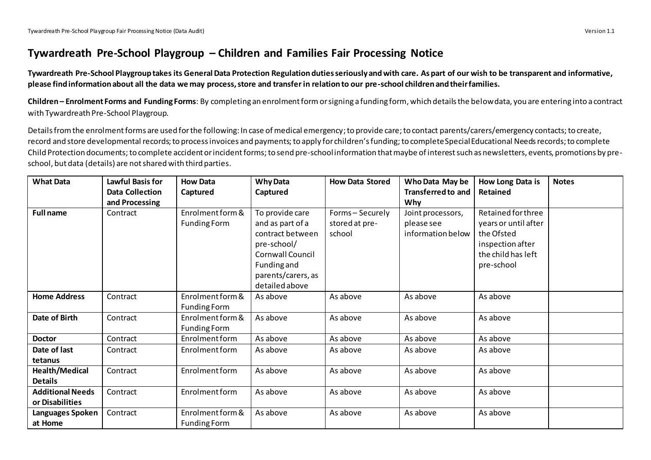## **Tywardreath Pre-School Playgroup – Children and Families Fair Processing Notice**

**Tywardreath Pre-School Playgroup takes its General Data Protection Regulation duties seriously and with care. As part of our wish to be transparent and informative, please find information about all the data we may process, store and transfer in relation to our pre-school children and their families.**

**Children – Enrolment Forms and Funding Forms**: By completing an enrolment formor signing a funding form, which details the belowdata, you are entering into a contract with Tywardreath Pre-School Playgroup.

Details from the enrolment forms are used for the following: In case of medical emergency; to provide care; to contact parents/carers/emergency contacts; to create, record and store developmental records;to process invoices and payments;to apply for children's funding;to complete Special Educational Needs records; to complete Child Protection documents; to complete accident or incident forms; to send pre-school information that maybe of interest such as newsletters, events, promotions by preschool, but data (details) are not shared with third parties.

| <b>What Data</b>                           | <b>Lawful Basis for</b> | <b>How Data</b>                         | <b>Why Data</b>                                                                                                                                   | <b>How Data Stored</b>                     | Who Data May be                                      | How Long Data is                                                                                                 | <b>Notes</b> |
|--------------------------------------------|-------------------------|-----------------------------------------|---------------------------------------------------------------------------------------------------------------------------------------------------|--------------------------------------------|------------------------------------------------------|------------------------------------------------------------------------------------------------------------------|--------------|
|                                            | <b>Data Collection</b>  | Captured                                | Captured                                                                                                                                          |                                            | <b>Transferred to and</b>                            | Retained                                                                                                         |              |
|                                            | and Processing          |                                         |                                                                                                                                                   |                                            | Why                                                  |                                                                                                                  |              |
| <b>Full name</b>                           | Contract                | Enrolment form &<br><b>Funding Form</b> | To provide care<br>and as part of a<br>contract between<br>pre-school/<br>Cornwall Council<br>Funding and<br>parents/carers, as<br>detailed above | Forms-Securely<br>stored at pre-<br>school | Joint processors,<br>please see<br>information below | Retained for three<br>years or until after<br>the Ofsted<br>inspection after<br>the child has left<br>pre-school |              |
| <b>Home Address</b>                        | Contract                | Enrolment form &<br><b>Funding Form</b> | As above                                                                                                                                          | As above                                   | As above                                             | As above                                                                                                         |              |
| Date of Birth                              | Contract                | Enrolment form &<br><b>Funding Form</b> | As above                                                                                                                                          | As above                                   | As above                                             | As above                                                                                                         |              |
| <b>Doctor</b>                              | Contract                | Enrolment form                          | As above                                                                                                                                          | As above                                   | As above                                             | As above                                                                                                         |              |
| Date of last<br>tetanus                    | Contract                | Enrolment form                          | As above                                                                                                                                          | As above                                   | As above                                             | As above                                                                                                         |              |
| Health/Medical<br><b>Details</b>           | Contract                | Enrolment form                          | As above                                                                                                                                          | As above                                   | As above                                             | As above                                                                                                         |              |
| <b>Additional Needs</b><br>or Disabilities | Contract                | Enrolment form                          | As above                                                                                                                                          | As above                                   | As above                                             | As above                                                                                                         |              |
| Languages Spoken<br>at Home                | Contract                | Enrolment form &<br>Funding Form        | As above                                                                                                                                          | As above                                   | As above                                             | As above                                                                                                         |              |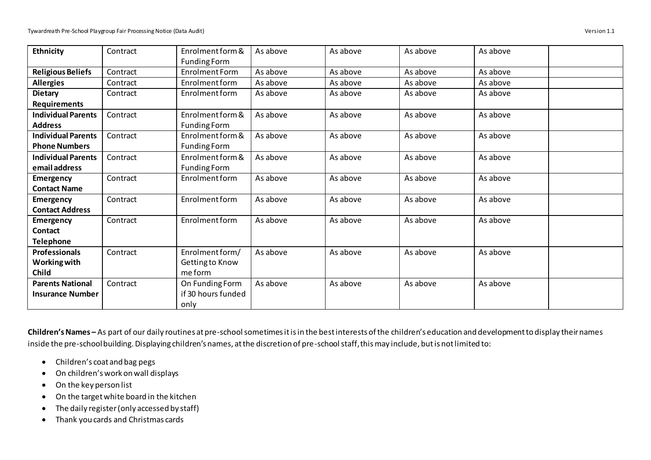| Ethnicity                 | Contract | Enrolment form &    | As above | As above | As above | As above |
|---------------------------|----------|---------------------|----------|----------|----------|----------|
|                           |          | <b>Funding Form</b> |          |          |          |          |
| <b>Religious Beliefs</b>  | Contract | Enrolment Form      | As above | As above | As above | As above |
| <b>Allergies</b>          | Contract | Enrolment form      | As above | As above | As above | As above |
| <b>Dietary</b>            | Contract | Enrolment form      | As above | As above | As above | As above |
| <b>Requirements</b>       |          |                     |          |          |          |          |
| <b>Individual Parents</b> | Contract | Enrolment form &    | As above | As above | As above | As above |
| <b>Address</b>            |          | <b>Funding Form</b> |          |          |          |          |
| <b>Individual Parents</b> | Contract | Enrolment form &    | As above | As above | As above | As above |
| <b>Phone Numbers</b>      |          | <b>Funding Form</b> |          |          |          |          |
| <b>Individual Parents</b> | Contract | Enrolment form &    | As above | As above | As above | As above |
| email address             |          | <b>Funding Form</b> |          |          |          |          |
| <b>Emergency</b>          | Contract | Enrolment form      | As above | As above | As above | As above |
| <b>Contact Name</b>       |          |                     |          |          |          |          |
| <b>Emergency</b>          | Contract | Enrolment form      | As above | As above | As above | As above |
| <b>Contact Address</b>    |          |                     |          |          |          |          |
| <b>Emergency</b>          | Contract | Enrolment form      | As above | As above | As above | As above |
| <b>Contact</b>            |          |                     |          |          |          |          |
| <b>Telephone</b>          |          |                     |          |          |          |          |
| <b>Professionals</b>      | Contract | Enrolment form/     | As above | As above | As above | As above |
| Working with              |          | Getting to Know     |          |          |          |          |
| <b>Child</b>              |          | me form             |          |          |          |          |
| <b>Parents National</b>   | Contract | On Funding Form     | As above | As above | As above | As above |
| <b>Insurance Number</b>   |          | if 30 hours funded  |          |          |          |          |
|                           |          | only                |          |          |          |          |

**Children's Names –** As part of our daily routines at pre-school sometimes it is in the best interests of the children's education and development to display their names inside the pre-school building. Displaying children's names, at the discretion of pre-school staff, this may include, but is not limited to:

- Children's coat and bag pegs
- On children's work on wall displays
- On the key person list
- On the target white board in the kitchen
- The daily register (only accessed by staff)
- Thank you cards and Christmas cards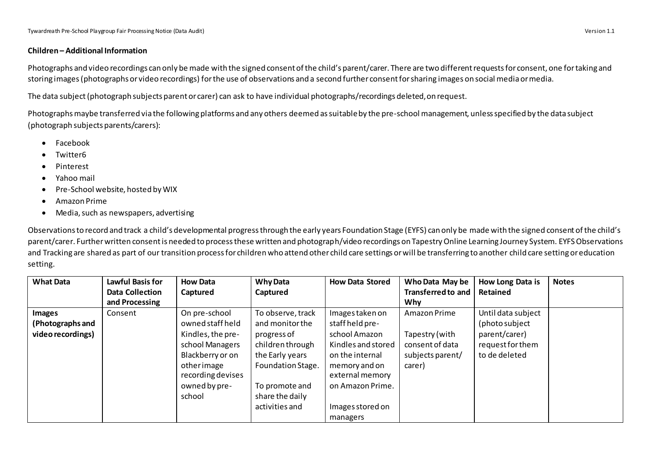## **Children – Additional Information**

Photographs and video recordings can only be made with the signed consent of the child's parent/carer. There are two different requests for consent, one for taking and storing images(photographs or video recordings) forthe use of observations and a second further consent for sharing images on social media or media.

The data subject(photograph subjects parent or carer) can ask to have individual photographs/recordings deleted, on request.

Photographs maybe transferred via the following platforms and any others deemed as suitable by the pre-school management, unless specified by the data subject (photograph subjects parents/carers):

- Facebook
- Twitter6
- Pinterest
- Yahoo mail
- Pre-School website, hosted by WIX
- Amazon Prime
- Media, such as newspapers, advertising

Observations to record and track a child's developmental progress through the early years Foundation Stage (EYFS) can only be made with the signed consent of the child's parent/carer. Further written consent is needed to process these written and photograph/video recordings on Tapestry Online Learning Journey System. EYFS Observations and Tracking are shared as part of our transition process for children who attend other child care settings or will be transferring to another child care setting or education setting.

| <b>What Data</b>                                       | <b>Lawful Basis for</b><br><b>Data Collection</b><br>and Processing | <b>How Data</b><br>Captured                                                                                                                                 | <b>Why Data</b><br>Captured                                                                                                                                            | <b>How Data Stored</b>                                                                                                                                                               | Who Data May be<br><b>Transferred to and</b><br><b>Why</b>                      | How Long Data is<br>Retained                                                               | <b>Notes</b> |
|--------------------------------------------------------|---------------------------------------------------------------------|-------------------------------------------------------------------------------------------------------------------------------------------------------------|------------------------------------------------------------------------------------------------------------------------------------------------------------------------|--------------------------------------------------------------------------------------------------------------------------------------------------------------------------------------|---------------------------------------------------------------------------------|--------------------------------------------------------------------------------------------|--------------|
| <b>Images</b><br>(Photographs and<br>video recordings) | Consent                                                             | On pre-school<br>owned staff held<br>Kindles, the pre-<br>school Managers<br>Blackberry or on<br>otherimage<br>recording devises<br>owned by pre-<br>school | To observe, track<br>and monitor the<br>progress of<br>children through<br>the Early years<br>Foundation Stage.<br>To promote and<br>share the daily<br>activities and | Images taken on<br>staff held pre-<br>school Amazon<br>Kindles and stored<br>on the internal<br>memory and on<br>external memory<br>on Amazon Prime.<br>Images stored on<br>managers | Amazon Prime<br>Tapestry (with<br>consent of data<br>subjects parent/<br>carer) | Until data subject<br>(photo subject<br>parent/carer)<br>request for them<br>to de deleted |              |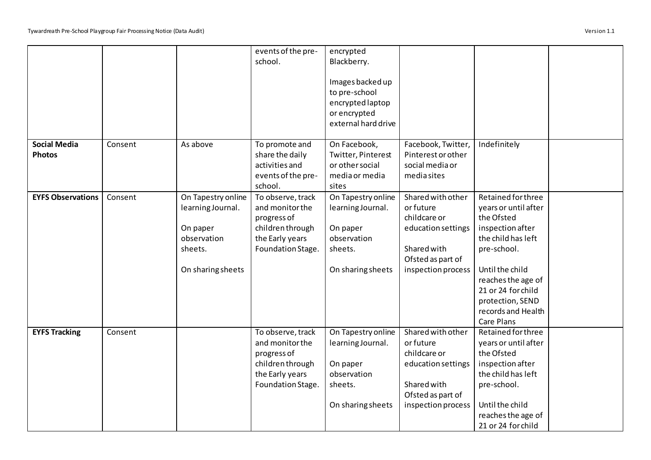|                          |         |                    | events of the pre- | encrypted           |                    |                      |  |
|--------------------------|---------|--------------------|--------------------|---------------------|--------------------|----------------------|--|
|                          |         |                    | school.            | Blackberry.         |                    |                      |  |
|                          |         |                    |                    |                     |                    |                      |  |
|                          |         |                    |                    | Images backed up    |                    |                      |  |
|                          |         |                    |                    | to pre-school       |                    |                      |  |
|                          |         |                    |                    | encrypted laptop    |                    |                      |  |
|                          |         |                    |                    | or encrypted        |                    |                      |  |
|                          |         |                    |                    | external hard drive |                    |                      |  |
|                          |         |                    |                    |                     |                    |                      |  |
| <b>Social Media</b>      | Consent | As above           | To promote and     | On Facebook,        | Facebook, Twitter, | Indefinitely         |  |
| <b>Photos</b>            |         |                    | share the daily    | Twitter, Pinterest  | Pinterest or other |                      |  |
|                          |         |                    | activities and     | or other social     | social media or    |                      |  |
|                          |         |                    |                    | media or media      |                    |                      |  |
|                          |         |                    | events of the pre- |                     | media sites        |                      |  |
|                          |         |                    | school.            | sites               |                    |                      |  |
| <b>EYFS Observations</b> | Consent | On Tapestry online | To observe, track  | On Tapestry online  | Shared with other  | Retained for three   |  |
|                          |         | learning Journal.  | and monitor the    | learning Journal.   | or future          | years or until after |  |
|                          |         |                    | progress of        |                     | childcare or       | the Ofsted           |  |
|                          |         | On paper           | children through   | On paper            | education settings | inspection after     |  |
|                          |         | observation        | the Early years    | observation         |                    | the child has left   |  |
|                          |         | sheets.            | Foundation Stage.  | sheets.             | Shared with        | pre-school.          |  |
|                          |         |                    |                    |                     | Ofsted as part of  |                      |  |
|                          |         | On sharing sheets  |                    | On sharing sheets   | inspection process | Until the child      |  |
|                          |         |                    |                    |                     |                    | reaches the age of   |  |
|                          |         |                    |                    |                     |                    | 21 or 24 for child   |  |
|                          |         |                    |                    |                     |                    | protection, SEND     |  |
|                          |         |                    |                    |                     |                    | records and Health   |  |
|                          |         |                    |                    |                     |                    | Care Plans           |  |
| <b>EYFS Tracking</b>     | Consent |                    | To observe, track  | On Tapestry online  | Shared with other  | Retained for three   |  |
|                          |         |                    | and monitor the    | learning Journal.   | or future          | years or until after |  |
|                          |         |                    | progress of        |                     | childcare or       | the Ofsted           |  |
|                          |         |                    | children through   | On paper            | education settings | inspection after     |  |
|                          |         |                    | the Early years    | observation         |                    | the child has left   |  |
|                          |         |                    | Foundation Stage.  | sheets.             | Shared with        | pre-school.          |  |
|                          |         |                    |                    |                     | Ofsted as part of  |                      |  |
|                          |         |                    |                    | On sharing sheets   | inspection process | Until the child      |  |
|                          |         |                    |                    |                     |                    | reaches the age of   |  |
|                          |         |                    |                    |                     |                    | 21 or 24 for child   |  |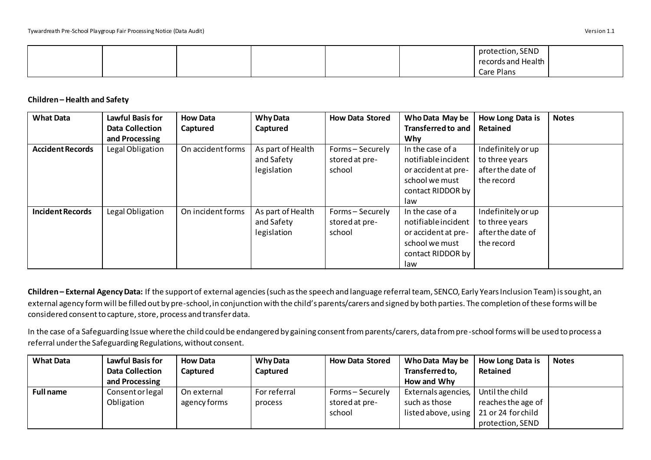|  |  |  | protection, SEND   |  |
|--|--|--|--------------------|--|
|  |  |  | records and Health |  |
|  |  |  | Care Plans         |  |

## **Children – Health and Safety**

| <b>What Data</b>        | <b>Lawful Basis for</b> | <b>How Data</b>   | <b>Why Data</b>   | <b>How Data Stored</b> | Who Data May be           | How Long Data is   | <b>Notes</b> |
|-------------------------|-------------------------|-------------------|-------------------|------------------------|---------------------------|--------------------|--------------|
|                         | <b>Data Collection</b>  | Captured          | Captured          |                        | <b>Transferred to and</b> | Retained           |              |
|                         | and Processing          |                   |                   |                        | Why                       |                    |              |
| <b>Accident Records</b> | Legal Obligation        | On accident forms | As part of Health | Forms-Securely         | In the case of a          | Indefinitely or up |              |
|                         |                         |                   | and Safety        | stored at pre-         | notifiable incident       | to three years     |              |
|                         |                         |                   | legislation       | school                 | or accident at pre-       | after the date of  |              |
|                         |                         |                   |                   |                        | school we must            | the record         |              |
|                         |                         |                   |                   |                        | contact RIDDOR by         |                    |              |
|                         |                         |                   |                   |                        | law                       |                    |              |
| <b>Incident Records</b> | Legal Obligation        | On incident forms | As part of Health | Forms-Securely         | In the case of a          | Indefinitely or up |              |
|                         |                         |                   | and Safety        | stored at pre-         | notifiable incident       | to three years     |              |
|                         |                         |                   | legislation       | school                 | or accident at pre-       | after the date of  |              |
|                         |                         |                   |                   |                        | school we must            | the record         |              |
|                         |                         |                   |                   |                        | contact RIDDOR by         |                    |              |
|                         |                         |                   |                   |                        | law                       |                    |              |

**Children – External Agency Data:** If the support of external agencies (such as the speech and language referral team, SENCO, Early Years Inclusion Team) is sought, an external agency form will be filled out by pre-school, in conjunction with the child's parents/carers and signed by both parties. The completion of these forms will be considered consent to capture, store, process and transfer data.

In the case of a Safeguarding Issue where the child could be endangered by gaining consent from parents/carers, data from pre-school forms will be used to process a referral under the Safeguarding Regulations, without consent.

| <b>What Data</b> | <b>Lawful Basis for</b> | <b>How Data</b> | <b>Why Data</b> | <b>How Data Stored</b> | Who Data May be     | <b>How Long Data is</b> | <b>Notes</b> |
|------------------|-------------------------|-----------------|-----------------|------------------------|---------------------|-------------------------|--------------|
|                  | <b>Data Collection</b>  | Captured        | Captured        |                        | Transferred to,     | Retained                |              |
|                  | and Processing          |                 |                 |                        | How and Why         |                         |              |
| <b>Full name</b> | Consent or legal        | On external     | For referral    | Forms – Securely       | Externals agencies, | Until the child         |              |
|                  | Obligation              | agency forms    | process         | stored at pre-         | such as those       | reaches the age of      |              |
|                  |                         |                 |                 | school                 | listed above, using | 21 or 24 for child      |              |
|                  |                         |                 |                 |                        |                     | protection, SEND        |              |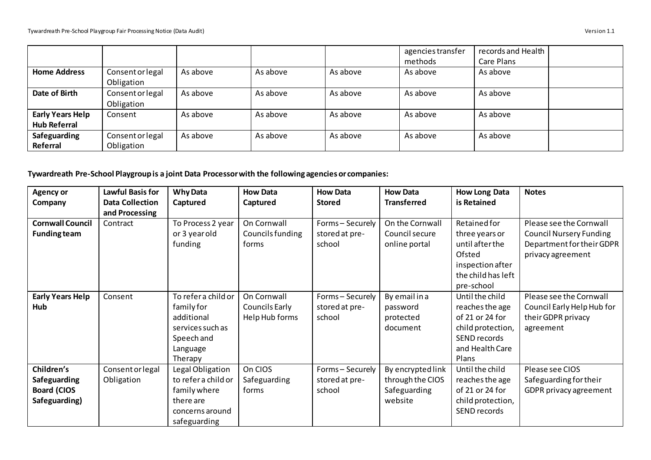$\Gamma$ 

|                                                |                                |          |          |          | agencies transfer<br>methods | records and Health<br>Care Plans |  |
|------------------------------------------------|--------------------------------|----------|----------|----------|------------------------------|----------------------------------|--|
| <b>Home Address</b>                            | Consent or legal<br>Obligation | As above | As above | As above | As above                     | As above                         |  |
| Date of Birth                                  | Consent or legal<br>Obligation | As above | As above | As above | As above                     | As above                         |  |
| <b>Early Years Help</b><br><b>Hub Referral</b> | Consent                        | As above | As above | As above | As above                     | As above                         |  |
| Safeguarding<br>Referral                       | Consent or legal<br>Obligation | As above | As above | As above | As above                     | As above                         |  |

**Tywardreath Pre-School Playgroup is a joint Data Processor with the following agencies or companies:**

| <b>Agency or</b>        | <b>Lawful Basis for</b> | <b>Why Data</b>     | <b>How Data</b>  | <b>How Data</b>  | <b>How Data</b>    | <b>How Long Data</b> | <b>Notes</b>                   |
|-------------------------|-------------------------|---------------------|------------------|------------------|--------------------|----------------------|--------------------------------|
| Company                 | <b>Data Collection</b>  | Captured            | Captured         | <b>Stored</b>    | <b>Transferred</b> | is Retained          |                                |
|                         | and Processing          |                     |                  |                  |                    |                      |                                |
| <b>Cornwall Council</b> | Contract                | To Process 2 year   | On Cornwall      | Forms-Securely   | On the Cornwall    | Retained for         | Please see the Cornwall        |
| <b>Funding team</b>     |                         | or 3 year old       | Councils funding | stored at pre-   | Council secure     | three years or       | <b>Council Nursery Funding</b> |
|                         |                         | funding             | forms            | school           | online portal      | until after the      | Department for their GDPR      |
|                         |                         |                     |                  |                  |                    | Ofsted               | privacy agreement              |
|                         |                         |                     |                  |                  |                    | inspection after     |                                |
|                         |                         |                     |                  |                  |                    | the child has left   |                                |
|                         |                         |                     |                  |                  |                    | pre-school           |                                |
| <b>Early Years Help</b> | Consent                 | To refer a child or | On Cornwall      | Forms - Securely | By email in a      | Until the child      | Please see the Cornwall        |
| <b>Hub</b>              |                         | family for          | Councils Early   | stored at pre-   | password           | reaches the age      | Council Early Help Hub for     |
|                         |                         | additional          | Help Hub forms   | school           | protected          | of 21 or 24 for      | their GDPR privacy             |
|                         |                         | services such as    |                  |                  | document           | child protection,    | agreement                      |
|                         |                         | Speech and          |                  |                  |                    | SEND records         |                                |
|                         |                         | Language            |                  |                  |                    | and Health Care      |                                |
|                         |                         | Therapy             |                  |                  |                    | Plans                |                                |
| Children's              | Consent or legal        | Legal Obligation    | On CIOS          | Forms-Securely   | By encrypted link  | Until the child      | Please see CIOS                |
| Safeguarding            | Obligation              | to refer a child or | Safeguarding     | stored at pre-   | through the CIOS   | reaches the age      | Safeguarding for their         |
| <b>Board (CIOS</b>      |                         | family where        | forms            | school           | Safeguarding       | of 21 or 24 for      | GDPR privacy agreement         |
| Safeguarding)           |                         | there are           |                  |                  | website            | child protection,    |                                |
|                         |                         | concerns around     |                  |                  |                    | SEND records         |                                |
|                         |                         | safeguarding        |                  |                  |                    |                      |                                |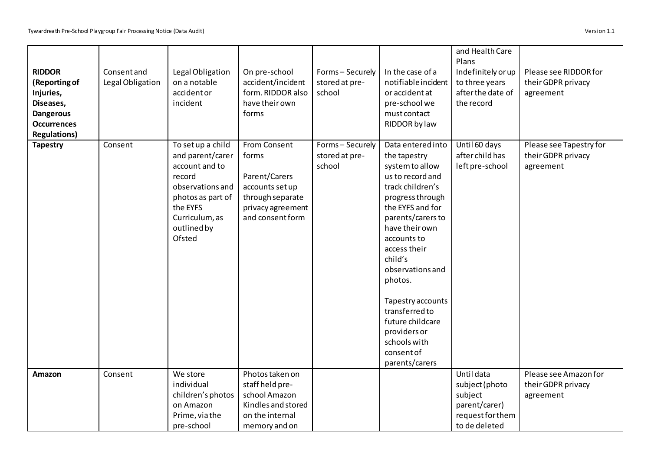|                                                                                                                           |                                 |                                                                                                                                                                   |                                                                                                                        |                                              |                                                                                                                                                                                                                                                                                                                                                                                 | and Health Care<br>Plans                                                                      |                                                            |
|---------------------------------------------------------------------------------------------------------------------------|---------------------------------|-------------------------------------------------------------------------------------------------------------------------------------------------------------------|------------------------------------------------------------------------------------------------------------------------|----------------------------------------------|---------------------------------------------------------------------------------------------------------------------------------------------------------------------------------------------------------------------------------------------------------------------------------------------------------------------------------------------------------------------------------|-----------------------------------------------------------------------------------------------|------------------------------------------------------------|
| <b>RIDDOR</b><br>(Reporting of<br>Injuries,<br>Diseases,<br><b>Dangerous</b><br><b>Occurrences</b><br><b>Regulations)</b> | Consent and<br>Legal Obligation | Legal Obligation<br>on a notable<br>accident or<br>incident                                                                                                       | On pre-school<br>accident/incident<br>form. RIDDOR also<br>have their own<br>forms                                     | Forms-Securely<br>stored at pre-<br>school   | In the case of a<br>notifiable incident<br>or accident at<br>pre-school we<br>must contact<br>RIDDOR by law                                                                                                                                                                                                                                                                     | Indefinitely or up<br>to three years<br>after the date of<br>the record                       | Please see RIDDOR for<br>their GDPR privacy<br>agreement   |
| <b>Tapestry</b>                                                                                                           | Consent                         | To set up a child<br>and parent/carer<br>account and to<br>record<br>observations and<br>photos as part of<br>the EYFS<br>Curriculum, as<br>outlined by<br>Ofsted | From Consent<br>forms<br>Parent/Carers<br>accounts set up<br>through separate<br>privacy agreement<br>and consent form | Forms - Securely<br>stored at pre-<br>school | Data entered into<br>the tapestry<br>system to allow<br>us to record and<br>track children's<br>progress through<br>the EYFS and for<br>parents/carers to<br>have their own<br>accounts to<br>access their<br>child's<br>observations and<br>photos.<br>Tapestry accounts<br>transferred to<br>future childcare<br>providers or<br>schools with<br>consent of<br>parents/carers | Until 60 days<br>after child has<br>left pre-school                                           | Please see Tapestry for<br>their GDPR privacy<br>agreement |
| Amazon                                                                                                                    | Consent                         | We store<br>individual<br>children's photos<br>on Amazon<br>Prime, via the<br>pre-school                                                                          | Photos taken on<br>staff held pre-<br>school Amazon<br>Kindles and stored<br>on the internal<br>memory and on          |                                              |                                                                                                                                                                                                                                                                                                                                                                                 | Until data<br>subject (photo<br>subject<br>parent/carer)<br>request for them<br>to de deleted | Please see Amazon for<br>their GDPR privacy<br>agreement   |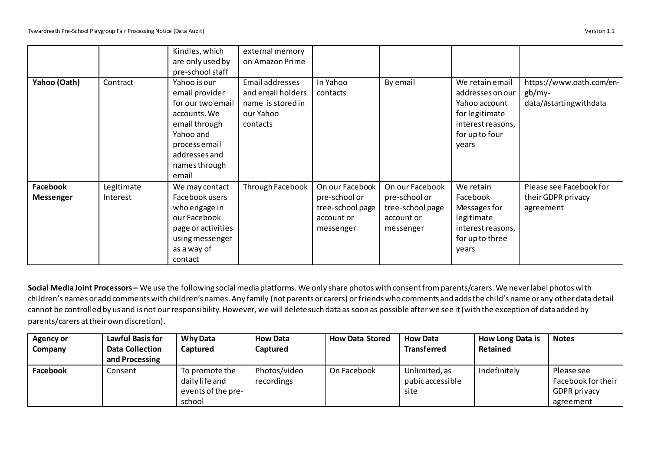|                              |                        | Kindles, which<br>are only used by<br>pre-school staff                                                                                                        | external memory<br>on Amazon Prime                                                 |                                                                                 |                                                                                 |                                                                                                                        |                                                                |
|------------------------------|------------------------|---------------------------------------------------------------------------------------------------------------------------------------------------------------|------------------------------------------------------------------------------------|---------------------------------------------------------------------------------|---------------------------------------------------------------------------------|------------------------------------------------------------------------------------------------------------------------|----------------------------------------------------------------|
| Yahoo (Oath)                 | Contract               | Yahoo is our<br>email provider<br>for our two email<br>accounts. We<br>email through<br>Yahoo and<br>process email<br>addresses and<br>names through<br>email | Email addresses<br>and email holders<br>name is stored in<br>our Yahoo<br>contacts | In Yahoo<br>contacts                                                            | By email                                                                        | We retain email<br>addresses on our<br>Yahoo account<br>for legitimate<br>interest reasons,<br>for up to four<br>years | https://www.oath.com/en-<br>$gb/my-$<br>data/#startingwithdata |
| Facebook<br><b>Messenger</b> | Legitimate<br>Interest | We may contact<br>Facebook users<br>who engage in<br>our Facebook<br>page or activities<br>using messenger<br>as a way of<br>contact                          | Through Facebook                                                                   | On our Facebook<br>pre-school or<br>tree-school page<br>account or<br>messenger | On our Facebook<br>pre-school or<br>tree-school page<br>account or<br>messenger | We retain<br>Facebook<br>Messages for<br>legitimate<br>interest reasons,<br>for up to three<br>years                   | Please see Facebook for<br>their GDPR privacy<br>agreement     |

**Social Media Joint Processors –** We use the following social media platforms. We only share photos with consent from parents/carers. We never label photos with children's names or add comments with children's names. Any family (not parents or carers) or friends who comments and adds the child's name or any other data detail cannot be controlled by us and is not our responsibility. However, we will delete such data as soon as possible after we see it (with the exception of data added by parents/carers at their own discretion).

| Agency or       | <b>Lawful Basis for</b> | <b>Why Data</b>    | <b>How Data</b> | <b>How Data Stored</b> | <b>How Data</b>    | How Long Data is | <b>Notes</b>        |
|-----------------|-------------------------|--------------------|-----------------|------------------------|--------------------|------------------|---------------------|
| Company         | <b>Data Collection</b>  | Captured           | <b>Captured</b> |                        | <b>Transferred</b> | Retained         |                     |
|                 | and Processing          |                    |                 |                        |                    |                  |                     |
| <b>Facebook</b> | Consent                 | To promote the     | Photos/video    | On Facebook            | Unlimited, as      | Indefinitely     | Please see          |
|                 |                         | daily life and     | recordings      |                        | pubic accessible   |                  | Facebook for their  |
|                 |                         | events of the pre- |                 |                        | site               |                  | <b>GDPR</b> privacy |
|                 |                         | school             |                 |                        |                    |                  | agreement           |